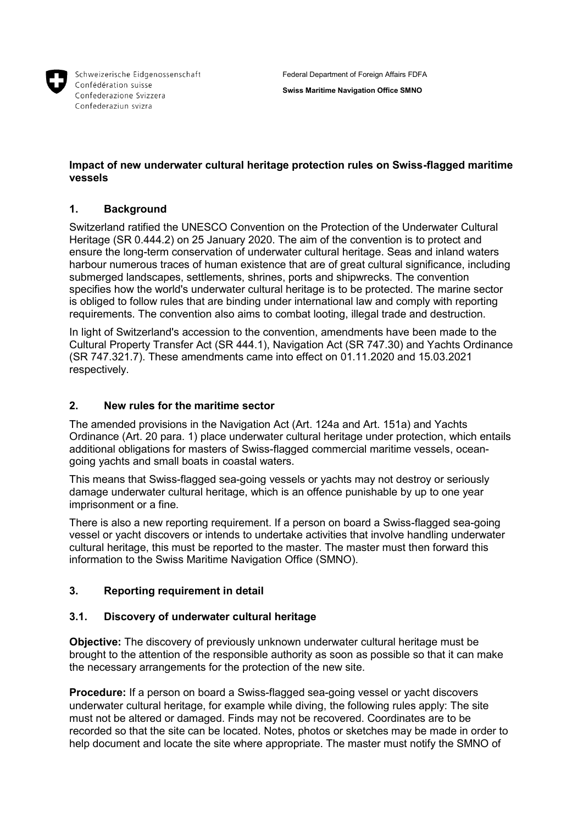

Schweizerische Eidgenossenschaft Confédération suisse Confederazione Svizzera Confederaziun svizra

**Swiss Maritime Navigation Office SMNO**

# **Impact of new underwater cultural heritage protection rules on Swiss-flagged maritime vessels**

# **1. Background**

Switzerland ratified the UNESCO Convention on the Protection of the Underwater Cultural Heritage (SR 0.444.2) on 25 January 2020. The aim of the convention is to protect and ensure the long-term conservation of underwater cultural heritage. Seas and inland waters harbour numerous traces of human existence that are of great cultural significance, including submerged landscapes, settlements, shrines, ports and shipwrecks. The convention specifies how the world's underwater cultural heritage is to be protected. The marine sector is obliged to follow rules that are binding under international law and comply with reporting requirements. The convention also aims to combat looting, illegal trade and destruction.

In light of Switzerland's accession to the convention, amendments have been made to the Cultural Property Transfer Act (SR 444.1), Navigation Act (SR 747.30) and Yachts Ordinance (SR 747.321.7). These amendments came into effect on 01.11.2020 and 15.03.2021 respectively.

# **2. New rules for the maritime sector**

The amended provisions in the Navigation Act (Art. 124a and Art. 151a) and Yachts Ordinance (Art. 20 para. 1) place underwater cultural heritage under protection, which entails additional obligations for masters of Swiss-flagged commercial maritime vessels, oceangoing yachts and small boats in coastal waters.

This means that Swiss-flagged sea-going vessels or yachts may not destroy or seriously damage underwater cultural heritage, which is an offence punishable by up to one year imprisonment or a fine.

There is also a new reporting requirement. If a person on board a Swiss-flagged sea-going vessel or yacht discovers or intends to undertake activities that involve handling underwater cultural heritage, this must be reported to the master. The master must then forward this information to the Swiss Maritime Navigation Office (SMNO).

# **3. Reporting requirement in detail**

### **3.1. Discovery of underwater cultural heritage**

**Objective:** The discovery of previously unknown underwater cultural heritage must be brought to the attention of the responsible authority as soon as possible so that it can make the necessary arrangements for the protection of the new site.

**Procedure:** If a person on board a Swiss-flagged sea-going vessel or yacht discovers underwater cultural heritage, for example while diving, the following rules apply: The site must not be altered or damaged. Finds may not be recovered. Coordinates are to be recorded so that the site can be located. Notes, photos or sketches may be made in order to help document and locate the site where appropriate. The master must notify the SMNO of